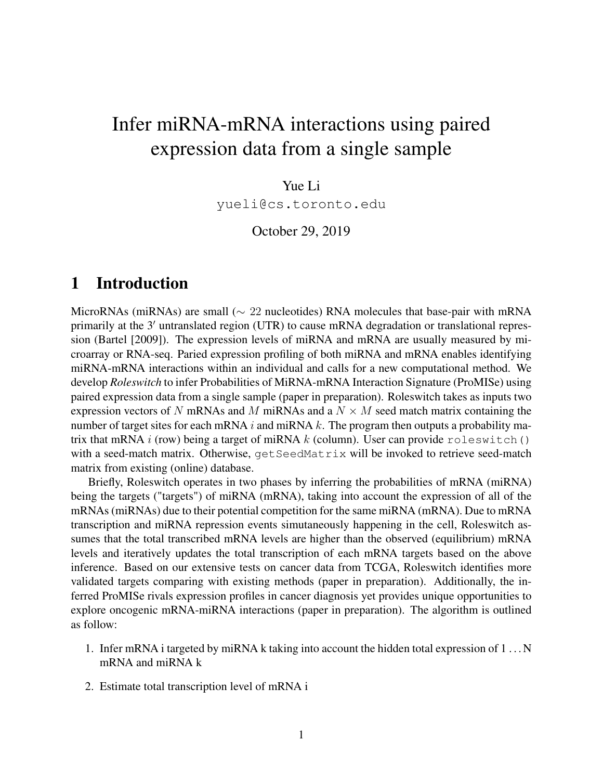# Infer miRNA-mRNA interactions using paired expression data from a single sample

Yue Li

yueli@cs.toronto.edu

October 29, 2019

#### 1 Introduction

MicroRNAs (miRNAs) are small (∼ 22 nucleotides) RNA molecules that base-pair with mRNA primarily at the  $3'$  untranslated region (UTR) to cause mRNA degradation or translational repression [\(Bartel](#page-8-0) [\[2009\]](#page-8-0)). The expression levels of miRNA and mRNA are usually measured by microarray or RNA-seq. Paried expression profiling of both miRNA and mRNA enables identifying miRNA-mRNA interactions within an individual and calls for a new computational method. We develop *Roleswitch* to infer Probabilities of MiRNA-mRNA Interaction Signature (ProMISe) using paired expression data from a single sample (paper in preparation). Roleswitch takes as inputs two expression vectors of N mRNAs and M miRNAs and a  $N \times M$  seed match matrix containing the number of target sites for each mRNA i and miRNA k. The program then outputs a probability matrix that mRNA  $i$  (row) being a target of miRNA  $k$  (column). User can provide roleswitch() with a seed-match matrix. Otherwise,  $q$ et SeedMatrix will be invoked to retrieve seed-match matrix from existing (online) database.

Briefly, Roleswitch operates in two phases by inferring the probabilities of mRNA (miRNA) being the targets ("targets") of miRNA (mRNA), taking into account the expression of all of the mRNAs (miRNAs) due to their potential competition for the same miRNA (mRNA). Due to mRNA transcription and miRNA repression events simutaneously happening in the cell, Roleswitch assumes that the total transcribed mRNA levels are higher than the observed (equilibrium) mRNA levels and iteratively updates the total transcription of each mRNA targets based on the above inference. Based on our extensive tests on cancer data from TCGA, Roleswitch identifies more validated targets comparing with existing methods (paper in preparation). Additionally, the inferred ProMISe rivals expression profiles in cancer diagnosis yet provides unique opportunities to explore oncogenic mRNA-miRNA interactions (paper in preparation). The algorithm is outlined as follow:

- 1. Infer mRNA i targeted by miRNA k taking into account the hidden total expression of 1 . . . N mRNA and miRNA k
- 2. Estimate total transcription level of mRNA i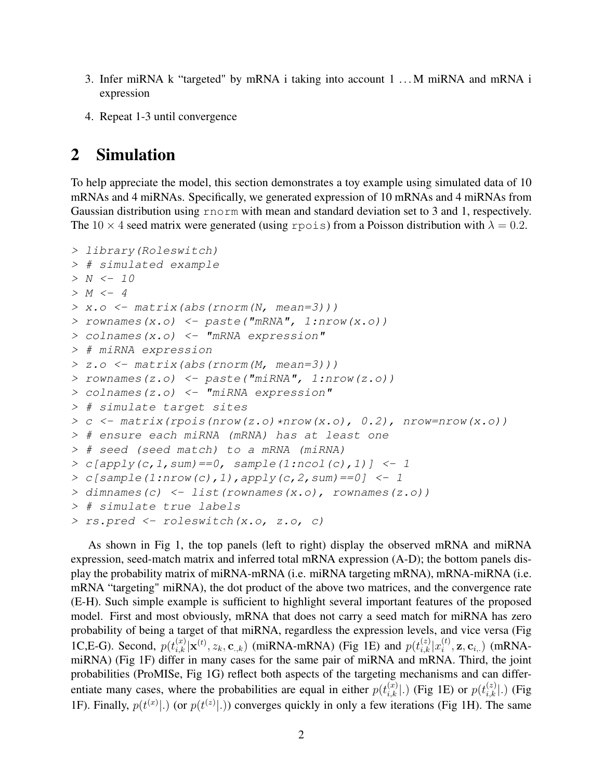- 3. Infer miRNA k "targeted" by mRNA i taking into account 1 . . . M miRNA and mRNA i expression
- 4. Repeat 1-3 until convergence

#### 2 Simulation

To help appreciate the model, this section demonstrates a toy example using simulated data of 10 mRNAs and 4 miRNAs. Specifically, we generated expression of 10 mRNAs and 4 miRNAs from Gaussian distribution using rnorm with mean and standard deviation set to 3 and 1, respectively. The 10  $\times$  4 seed matrix were generated (using rpois) from a Poisson distribution with  $\lambda = 0.2$ .

```
> library(Roleswitch)
> # simulated example
> N < - 10> M \lt- 4> x.o <- matrix(abs(rnorm(N, mean=3)))
> rownames(x.o) <- paste("mRNA", 1:nrow(x.o))
> colnames(x.o) <- "mRNA expression"
> # miRNA expression
> z.o <- matrix(abs(rnorm(M, mean=3)))
> rownames(z.o) <- paste("miRNA", 1:nrow(z.o))
> colnames(z.o) <- "miRNA expression"
> # simulate target sites
> c <- matrix(rpois(nrow(z.o)*nrow(x.o), 0.2), nrow=nrow(x.o))
> # ensure each miRNA (mRNA) has at least one
> # seed (seed match) to a mRNA (miRNA)
> c[apply(c, 1, sum) == 0, sample(1:ncol(c), 1)] <- 1
> c[sample(1:now(c), 1), apply(c, 2, sum) == 0] <- 1
> dimnames(c) <- list(rownames(x.o), rownames(z.o))
> # simulate true labels
> rs.pred <- roleswitch(x.o, z.o, c)
```
As shown in Fig [1,](#page-2-0) the top panels (left to right) display the observed mRNA and miRNA expression, seed-match matrix and inferred total mRNA expression (A-D); the bottom panels display the probability matrix of miRNA-mRNA (i.e. miRNA targeting mRNA), mRNA-miRNA (i.e. mRNA "targeting" miRNA), the dot product of the above two matrices, and the convergence rate (E-H). Such simple example is sufficient to highlight several important features of the proposed model. First and most obviously, mRNA that does not carry a seed match for miRNA has zero probability of being a target of that miRNA, regardless the expression levels, and vice versa (Fig [1C](#page-2-0),E-G). Second,  $p(t_{i,k}^{(x)}|\mathbf{x}^{(t)}, z_k, \mathbf{c}_{.,k})$  (miRNA-mRNA) (Fig [1E](#page-2-0)) and  $p(t_{i,k}^{(z)}|x_i^{(t)})$  $i^{(t)}$ ,  $\mathbf{z}, \mathbf{c}_{i,:}$ ) (mRNAmiRNA) (Fig [1F](#page-2-0)) differ in many cases for the same pair of miRNA and mRNA. Third, the joint probabilities (ProMISe, Fig [1G](#page-2-0)) reflect both aspects of the targeting mechanisms and can differentiate many cases, where the probabilities are equal in either  $p(t_{i,k}^{(x)}|.)$  (Fig [1E](#page-2-0)) or  $p(t_{i,k}^{(z)}|.)$  (Fig [1F](#page-2-0)). Finally,  $p(t^{(x)}|.)$  (or  $p(t^{(z)}|.)$ ) converges quickly in only a few iterations (Fig [1H](#page-2-0)). The same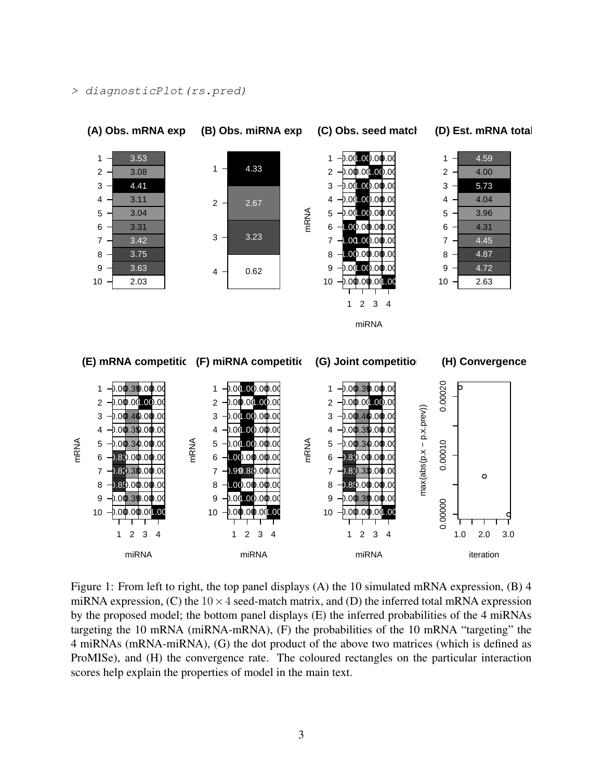<span id="page-2-0"></span>> diagnosticPlot(rs.pred)





Figure 1: From left to right, the top panel displays (A) the 10 simulated mRNA expression, (B) 4 miRNA expression, (C) the  $10 \times 4$  seed-match matrix, and (D) the inferred total mRNA expression by the proposed model; the bottom panel displays (E) the inferred probabilities of the 4 miRNAs targeting the 10 mRNA (miRNA-mRNA), (F) the probabilities of the 10 mRNA "targeting" the 4 miRNAs (mRNA-miRNA), (G) the dot product of the above two matrices (which is defined as ProMISe), and (H) the convergence rate. The coloured rectangles on the particular interaction scores help explain the properties of model in the main text.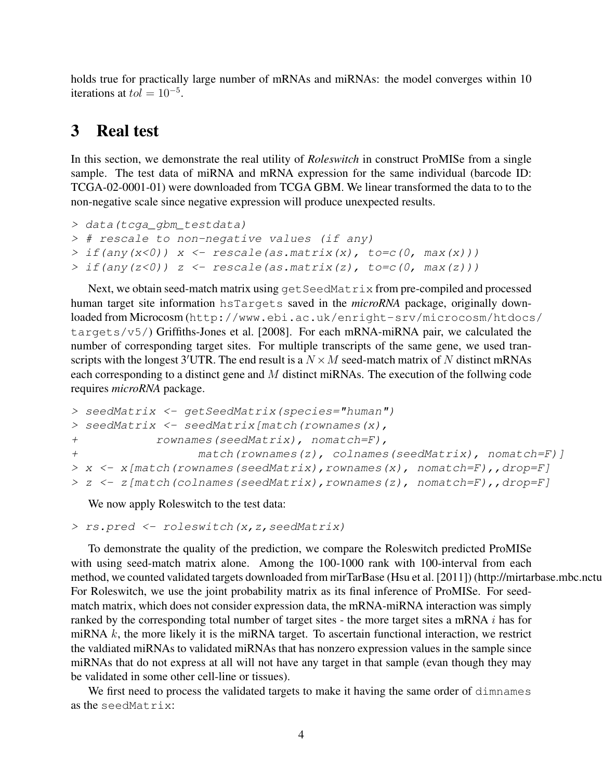holds true for practically large number of mRNAs and miRNAs: the model converges within 10 iterations at  $tol = 10^{-5}$ .

#### 3 Real test

In this section, we demonstrate the real utility of *Roleswitch* in construct ProMISe from a single sample. The test data of miRNA and mRNA expression for the same individual (barcode ID: TCGA-02-0001-01) were downloaded from TCGA GBM. We linear transformed the data to to the non-negative scale since negative expression will produce unexpected results.

```
> data(tcga_gbm_testdata)
> # rescale to non-negative values (if any)
> if(any(x<0)) x <- rescale(as.matrix(x), to=c(0, max(x)))
> if(any(z<0)) z <- rescale(as.matrix(z), to=c(0, max(z)))
```
Next, we obtain seed-match matrix using get SeedMatrix from pre-compiled and processed human target site information hsTargets saved in the *microRNA* package, originally downloaded from Microcosm ([http://www.ebi.ac.uk/enright-srv/microcosm/htdocs](http://www.ebi.ac.uk/enright-srv/microcosm/htdocs/targets/v5/)/ [targets/v5/](http://www.ebi.ac.uk/enright-srv/microcosm/htdocs/targets/v5/)) [Griffiths-Jones et al.](#page-8-1) [\[2008\]](#page-8-1). For each mRNA-miRNA pair, we calculated the number of corresponding target sites. For multiple transcripts of the same gene, we used transcripts with the longest 3'UTR. The end result is a  $N \times M$  seed-match matrix of N distinct mRNAs each corresponding to a distinct gene and M distinct miRNAs. The execution of the follwing code requires *microRNA* package.

```
> seedMatrix <- getSeedMatrix(species="human")
> seedMatrix <- seedMatrix[match(rownames(x),
+ rownames(seedMatrix), nomatch=F),
+ match(rownames(z), colnames(seedMatrix), nomatch=F)]
> x <- x[match(rownames(seedMatrix), rownames(x), nomatch=F), drop=F]
> z <- z[match(colnames(seedMatrix),rownames(z), nomatch=F),,drop=F]
```
We now apply Roleswitch to the test data:

```
> rs.pred <- roleswitch(x,z,seedMatrix)
```
To demonstrate the quality of the prediction, we compare the Roleswitch predicted ProMISe with using seed-match matrix alone. Among the 100-1000 rank with 100-interval from each method, we counted validated targets downloaded from mirTarBase [\(Hsu et al.](#page-9-0) [\[2011\]](#page-9-0)) (http://mirtarbase.mbc.nctu For Roleswitch, we use the joint probability matrix as its final inference of ProMISe. For seedmatch matrix, which does not consider expression data, the mRNA-miRNA interaction was simply ranked by the corresponding total number of target sites - the more target sites a mRNA i has for miRNA  $k$ , the more likely it is the miRNA target. To ascertain functional interaction, we restrict the valdiated miRNAs to validated miRNAs that has nonzero expression values in the sample since miRNAs that do not express at all will not have any target in that sample (evan though they may be validated in some other cell-line or tissues).

We first need to process the validated targets to make it having the same order of dimnames as the seedMatrix: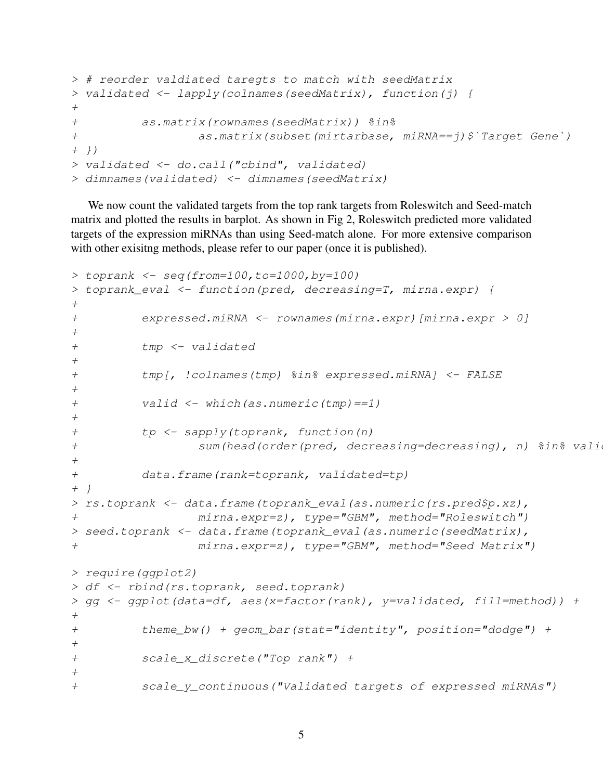```
> # reorder valdiated taregts to match with seedMatrix
> validated <- lapply(colnames(seedMatrix), function(j) {
+
+ as.matrix(rownames(seedMatrix)) %in%
+ as.matrix(subset(mirtarbase, miRNA==j)$`Target Gene`)
+ })
> validated <- do.call("cbind", validated)
> dimnames(validated) <- dimnames(seedMatrix)
```
We now count the validated targets from the top rank targets from Roleswitch and Seed-match matrix and plotted the results in barplot. As shown in Fig [2,](#page-5-0) Roleswitch predicted more validated targets of the expression miRNAs than using Seed-match alone. For more extensive comparison with other exisitng methods, please refer to our paper (once it is published).

```
> toprank <- seq(from=100, to=1000, by=100)
> toprank_eval <- function(pred, decreasing=T, mirna.expr) {
+
+ expressed.miRNA <- rownames(mirna.expr)[mirna.expr > 0]
+
+ tmp <- validated
+
+ tmp[, !colnames(tmp) %in% expressed.miRNA] <- FALSE
+
+ valid <- which(as.numeric(tmp)==1)
+
+ tp <- sapply(toprank, function(n)
+ sum(head(order(pred, decreasing=decreasing), n) \frac{2}{3} valid
+
+ data.frame(rank=toprank, validated=tp)
+ }
> rs.toprank <- data.frame(toprank_eval(as.numeric(rs.pred$p.xz),
+ mirna.expr=z), type="GBM", method="Roleswitch")
> seed.toprank <- data.frame(toprank_eval(as.numeric(seedMatrix),
+ mirna.expr=z), type="GBM", method="Seed Matrix")
> require(ggplot2)
> df <- rbind(rs.toprank, seed.toprank)
> gg <- ggplot(data=df, aes(x=factor(rank), y=validated, fill=method)) +
+
+ theme_bw() + geom_bar(stat="identity", position="dodge") +
+
+ scale_x_discrete("Top rank") +
+
+ scale_y_continuous("Validated targets of expressed miRNAs")
```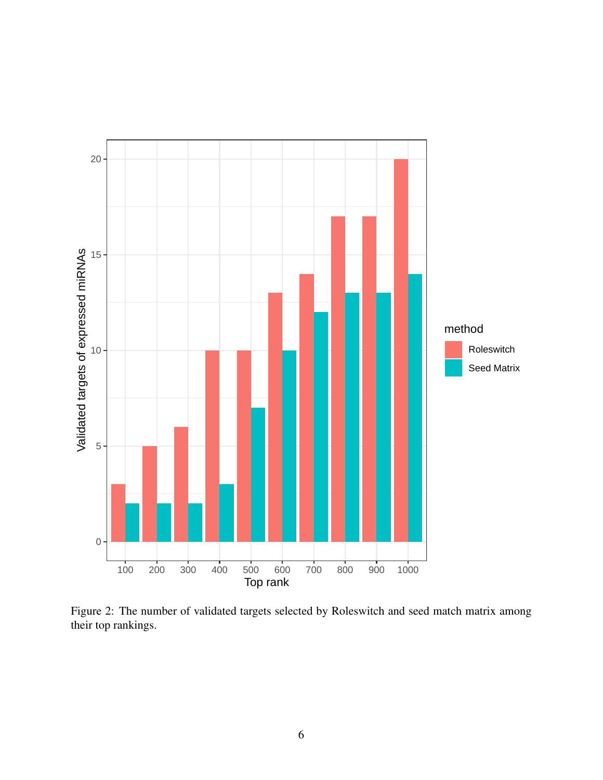<span id="page-5-0"></span>

Figure 2: The number of validated targets selected by Roleswitch and seed match matrix among their top rankings.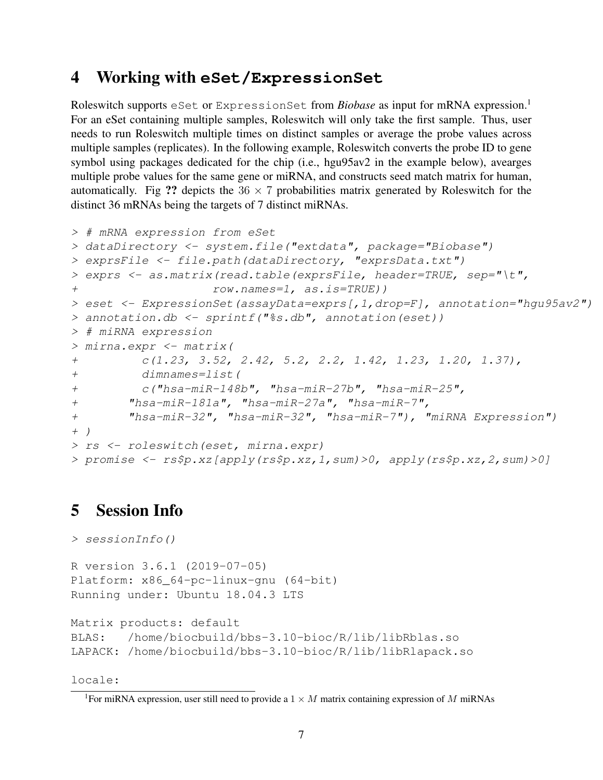## <span id="page-6-1"></span>4 Working with **eSet/ExpressionSet**

Roleswitch supports eSet or ExpressionSet from *Biobase* as input for mRNA expression.<sup>[1](#page-6-0)</sup> For an eSet containing multiple samples, Roleswitch will only take the first sample. Thus, user needs to run Roleswitch multiple times on distinct samples or average the probe values across multiple samples (replicates). In the following example, Roleswitch converts the probe ID to gene symbol using packages dedicated for the chip (i.e., hgu95av2 in the example below), avearges multiple probe values for the same gene or miRNA, and constructs seed match matrix for human, automatically. Fig ?? depicts the  $36 \times 7$  probabilities matrix generated by Roleswitch for the distinct 36 mRNAs being the targets of 7 distinct miRNAs.

```
> # mRNA expression from eSet
> dataDirectory <- system.file("extdata", package="Biobase")
> exprsFile <- file.path(dataDirectory, "exprsData.txt")
> exprs <- as.matrix(read.table(exprsFile, header=TRUE, sep="\t",
+ row.names=1, as.is=TRUE))
> eset <- ExpressionSet (assayData=exprs [, 1, drop=F], annotation="hqu95av2")
> annotation.db <- sprintf("%s.db", annotation(eset))
> # miRNA expression
> mirna.expr <- matrix(
+ c(1.23, 3.52, 2.42, 5.2, 2.2, 1.42, 1.23, 1.20, 1.37),
+ dimnames=list(
+ c("hsa-miR-148b", "hsa-miR-27b", "hsa-miR-25",
+ "hsa-miR-181a", "hsa-miR-27a", "hsa-miR-7",
+ "hsa-miR-32", "hsa-miR-32", "hsa-miR-7"), "miRNA Expression")
+ )
> rs <- roleswitch(eset, mirna.expr)
> promise <- rs$p.xz[apply(rs$p.xz,1,sum)>0, apply(rs$p.xz,2,sum)>0]
```
## 5 Session Info

```
> sessionInfo()
R version 3.6.1 (2019-07-05)
Platform: x86_64-pc-linux-gnu (64-bit)
Running under: Ubuntu 18.04.3 LTS
Matrix products: default
BLAS: /home/biocbuild/bbs-3.10-bioc/R/lib/libRblas.so
LAPACK: /home/biocbuild/bbs-3.10-bioc/R/lib/libRlapack.so
```
locale:

<span id="page-6-0"></span><sup>&</sup>lt;sup>1</sup>For miRNA expression, user still need to provide a  $1 \times M$  matrix containing expression of M miRNAs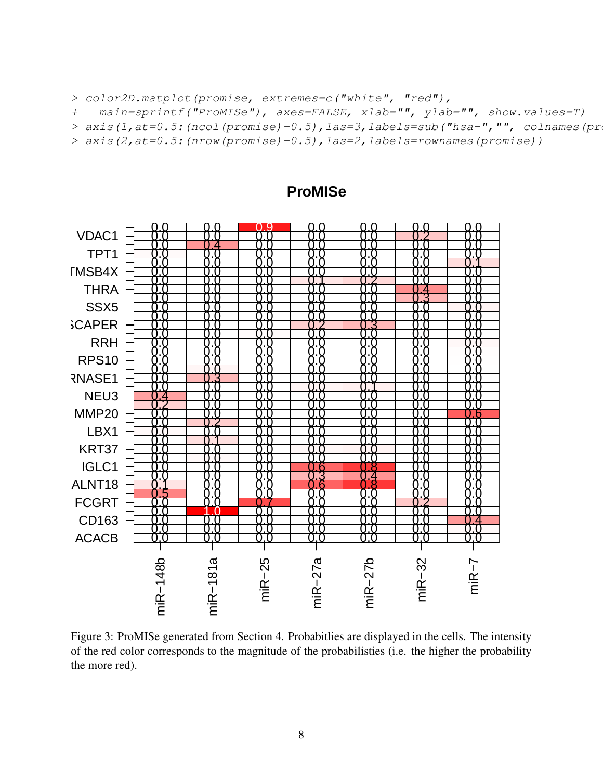> color2D.matplot(promise, extremes=c("white", "red"),

+ main=sprintf("ProMISe"), axes=FALSE, xlab="", ylab="", show.values=T)

> axis(1, at=0.5: (ncol(promise)-0.5), las=3, labels=sub("hsa-","", colnames(pr

> axis(2,at=0.5:(nrow(promise)-0.5),las=2,labels=rownames(promise))



#### **ProMISe**

Figure 3: ProMISe generated from Section [4.](#page-6-1) Probabitlies are displayed in the cells. The intensity of the red color corresponds to the magnitude of the probabilisties (i.e. the higher the probability the more red).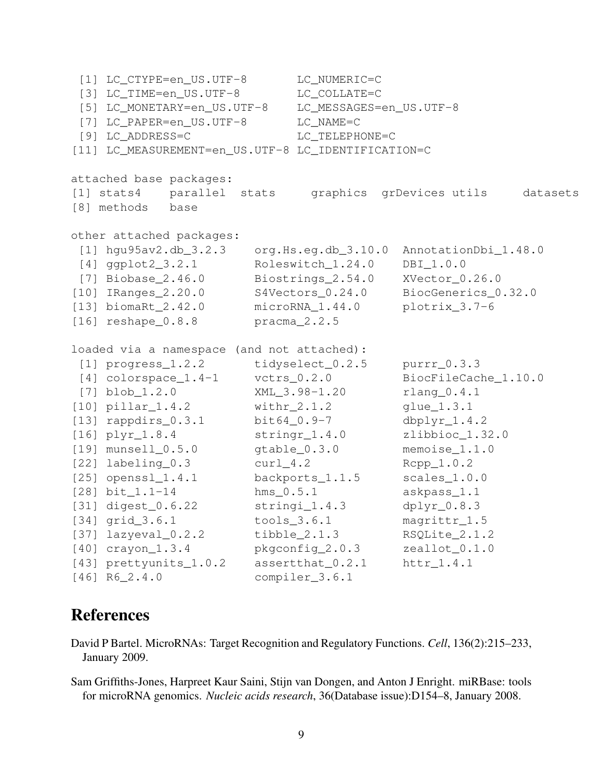```
[1] LC_CTYPE=en_US.UTF-8 LC_NUMERIC=C
 [3] LC_TIME=en_US.UTF-8 LC_COLLATE=C
 [5] LC_MONETARY=en_US.UTF-8 LC_MESSAGES=en_US.UTF-8
 [7] LC_PAPER=en_US.UTF-8 LC_NAME=C
 [9] LC ADDRESS=C LC TELEPHONE=C
[11] LC_MEASUREMENT=en_US.UTF-8 LC_IDENTIFICATION=C
attached base packages:
[1] stats4 parallel stats graphics grDevices utils datasets
[8] methods base
other attached packages:
 [1] hgu95av2.db_3.2.3 org.Hs.eg.db_3.10.0 AnnotationDbi_1.48.0
[4] ggplot2_3.2.1 Roleswitch_1.24.0 DBI_1.0.0
[7] Biobase_2.46.0 Biostrings_2.54.0 XVector_0.26.0
[10] IRanges_2.20.0 S4Vectors_0.24.0 BiocGenerics_0.32.0
[13] biomaRt_2.42.0 microRNA_1.44.0 plotrix_3.7-6
[16] reshape_0.8.8 pracma_2.2.5
loaded via a namespace (and not attached):
 [1] progress 1.2.2 tidyselect 0.2.5 purrr 0.3.3
[4] colorspace_1.4-1 vctrs_0.2.0 BiocFileCache_1.10.0
 [7] blob_1.2.0 XML_3.98-1.20 rlang_0.4.1
[10] pillar_1.4.2 withr_2.1.2 glue_1.3.1
[13] rappdirs_0.3.1 bit64_0.9-7 dbplyr_1.4.2
[16] plyr_1.8.4 stringr_1.4.0 zlibbioc_1.32.0
[19] munsell_0.5.0 gtable_0.3.0 memoise_1.1.0
[22] labeling_0.3 curl_4.2 Rcpp_1.0.2
[25] openssl_1.4.1 backports_1.1.5 scales_1.0.0
[28] bit_1.1-14 hms_0.5.1 askpass_1.1
[31] digest_0.6.22 stringi_1.4.3 dplyr_0.8.3
[34] grid_3.6.1 tools_3.6.1 magrittr_1.5
[37] lazyeval_0.2.2 tibble_2.1.3 RSQLite_2.1.2
[40] crayon_1.3.4 pkgconfig_2.0.3 zeallot_0.1.0
[43] prettyunits_1.0.2 assertthat_0.2.1 httr_1.4.1
[46] R6_2.4.0 compiler_3.6.1
```
## **References**

<span id="page-8-0"></span>David P Bartel. MicroRNAs: Target Recognition and Regulatory Functions. *Cell*, 136(2):215–233, January 2009.

<span id="page-8-1"></span>Sam Griffiths-Jones, Harpreet Kaur Saini, Stijn van Dongen, and Anton J Enright. miRBase: tools for microRNA genomics. *Nucleic acids research*, 36(Database issue):D154–8, January 2008.